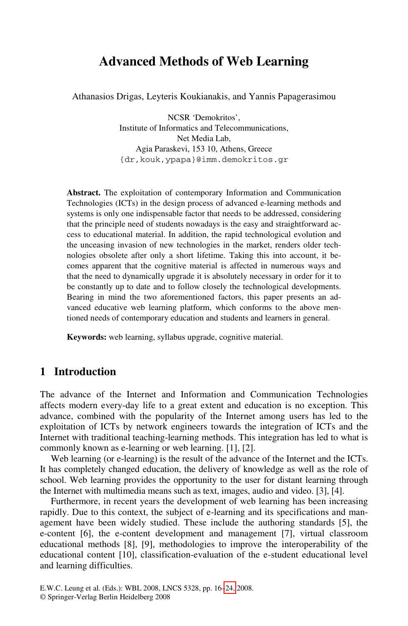# **Advanced Methods of Web Learning**

Athanasios Drigas, Leyteris Koukianakis, and Yannis Papagerasimou

NCSR 'Demokritos', Institute of Informatics and Telecommunications, Net Media Lab, Agia Paraskevi, 153 10, Athens, Greece {dr,kouk,ypapa}@imm.demokritos.gr

**Abstract.** The exploitation of contemporary Information and Communication Technologies (ICTs) in the design process of advanced e-learning methods and systems is only one indispensable factor that needs to be addressed, considering that the principle need of students nowadays is the easy and straightforward access to educational material. In addition, the rapid technological evolution and the unceasing invasion of new technologies in the market, renders older technologies obsolete after only a short lifetime. Taking this into account, it becomes apparent that the cognitive material is affected in numerous ways and that the need to dynamically upgrade it is absolutely necessary in order for it to be constantly up to date and to follow closely the technological developments. Bearing in mind the two aforementioned factors, this paper presents an advanced educative web learning platform, which conforms to the above mentioned needs of contemporary education and students and learners in general.

**Keywords:** web learning, syllabus upgrade, cognitive material.

## **1 Introduction**

The advance of the Internet and Information and Communication Technologies affects modern every-day life to a great extent and education is no exception. This advance, combined with the popularity of the Internet among users has led to the exploitation of ICTs by network engineers towards the integration of ICTs and the Internet with traditional teaching-learning methods. This integration has led to what is commonly known as e-learning or web learning. [1], [2].

Web learning (or e-learning) is the result of the advance of the Internet and the ICTs. It has completely changed education, the delivery of knowledge as well as the role of school. Web learning provides the opportunity to the user for distant learning through the Internet with multimedia means such as text, images, audio and video. [3], [4].

Furthermore, in recent y[ears](#page-8-0) the development of web learning has been increasing rapidly. Due to this context, the subject of e-learning and its specifications and management have been widely studied. These include the authoring standards [5], the e-content [6], the e-content development and management [7], virtual classroom educational methods [8], [9], methodologies to improve the interoperability of the educational content [10], classification-evaluation of the e-student educational level and learning difficulties.

E.W.C. Leung et al. (Eds.): WBL 2008, LNCS 5328, pp. 16–24, 2008.

<sup>©</sup> Springer-Verlag Berlin Heidelberg 2008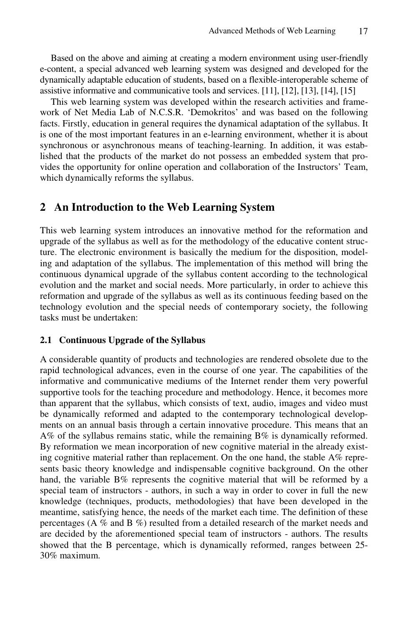Based on the above and aiming at creating a modern environment using user-friendly e-content, a special advanced web learning system was designed and developed for the dynamically adaptable education of students, based on a flexible-interoperable scheme of assistive informative and communicative tools and services. [11], [12], [13], [14], [15]

This web learning system was developed within the research activities and framework of Net Media Lab of N.C.S.R. 'Demokritos' and was based on the following facts. Firstly, education in general requires the dynamical adaptation of the syllabus. It is one of the most important features in an e-learning environment, whether it is about synchronous or asynchronous means of teaching-learning. In addition, it was established that the products of the market do not possess an embedded system that provides the opportunity for online operation and collaboration of the Instructors' Team, which dynamically reforms the syllabus.

## **2 An Introduction to the Web Learning System**

This web learning system introduces an innovative method for the reformation and upgrade of the syllabus as well as for the methodology of the educative content structure. The electronic environment is basically the medium for the disposition, modeling and adaptation of the syllabus. The implementation of this method will bring the continuous dynamical upgrade of the syllabus content according to the technological evolution and the market and social needs. More particularly, in order to achieve this reformation and upgrade of the syllabus as well as its continuous feeding based on the technology evolution and the special needs of contemporary society, the following tasks must be undertaken:

### **2.1 Continuous Upgrade of the Syllabus**

A considerable quantity of products and technologies are rendered obsolete due to the rapid technological advances, even in the course of one year. The capabilities of the informative and communicative mediums of the Internet render them very powerful supportive tools for the teaching procedure and methodology. Hence, it becomes more than apparent that the syllabus, which consists of text, audio, images and video must be dynamically reformed and adapted to the contemporary technological developments on an annual basis through a certain innovative procedure. This means that an  $A\%$  of the syllabus remains static, while the remaining  $B\%$  is dynamically reformed. By reformation we mean incorporation of new cognitive material in the already existing cognitive material rather than replacement. On the one hand, the stable A% represents basic theory knowledge and indispensable cognitive background. On the other hand, the variable B% represents the cognitive material that will be reformed by a special team of instructors - authors, in such a way in order to cover in full the new knowledge (techniques, products, methodologies) that have been developed in the meantime, satisfying hence, the needs of the market each time. The definition of these percentages (A % and B %) resulted from a detailed research of the market needs and are decided by the aforementioned special team of instructors - authors. The results showed that the B percentage, which is dynamically reformed, ranges between 25- 30% maximum.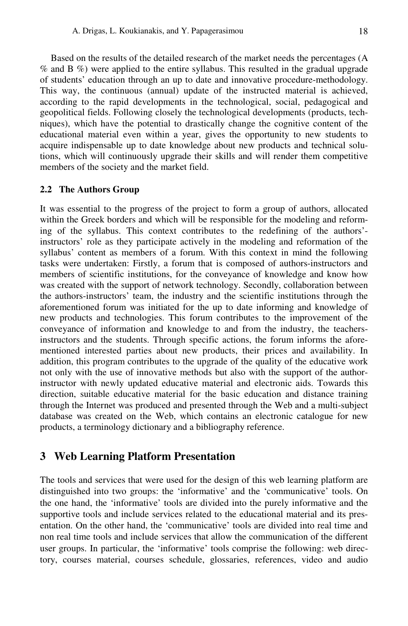Based on the results of the detailed research of the market needs the percentages (A % and B %) were applied to the entire syllabus. This resulted in the gradual upgrade of students' education through an up to date and innovative procedure-methodology. This way, the continuous (annual) update of the instructed material is achieved, according to the rapid developments in the technological, social, pedagogical and geopolitical fields. Following closely the technological developments (products, techniques), which have the potential to drastically change the cognitive content of the educational material even within a year, gives the opportunity to new students to acquire indispensable up to date knowledge about new products and technical solutions, which will continuously upgrade their skills and will render them competitive members of the society and the market field.

#### **2.2 The Authors Group**

It was essential to the progress of the project to form a group of authors, allocated within the Greek borders and which will be responsible for the modeling and reforming of the syllabus. This context contributes to the redefining of the authors' instructors' role as they participate actively in the modeling and reformation of the syllabus' content as members of a forum. With this context in mind the following tasks were undertaken: Firstly, a forum that is composed of authors-instructors and members of scientific institutions, for the conveyance of knowledge and know how was created with the support of network technology. Secondly, collaboration between the authors-instructors' team, the industry and the scientific institutions through the aforementioned forum was initiated for the up to date informing and knowledge of new products and technologies. This forum contributes to the improvement of the conveyance of information and knowledge to and from the industry, the teachersinstructors and the students. Through specific actions, the forum informs the aforementioned interested parties about new products, their prices and availability. In addition, this program contributes to the upgrade of the quality of the educative work not only with the use of innovative methods but also with the support of the authorinstructor with newly updated educative material and electronic aids. Towards this direction, suitable educative material for the basic education and distance training through the Internet was produced and presented through the Web and a multi-subject database was created on the Web, which contains an electronic catalogue for new products, a terminology dictionary and a bibliography reference.

## **3 Web Learning Platform Presentation**

The tools and services that were used for the design of this web learning platform are distinguished into two groups: the 'informative' and the 'communicative' tools. On the one hand, the 'informative' tools are divided into the purely informative and the supportive tools and include services related to the educational material and its presentation. On the other hand, the 'communicative' tools are divided into real time and non real time tools and include services that allow the communication of the different user groups. In particular, the 'informative' tools comprise the following: web directory, courses material, courses schedule, glossaries, references, video and audio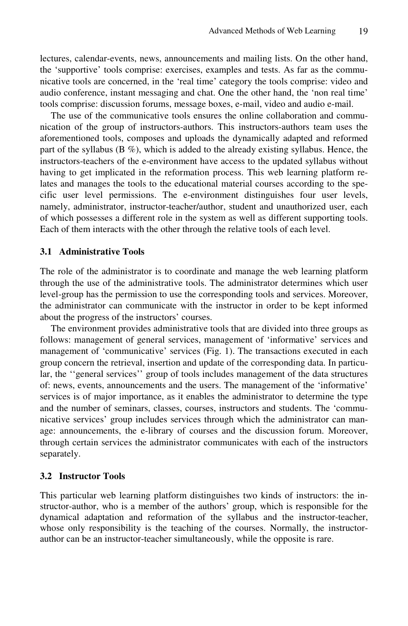lectures, calendar-events, news, announcements and mailing lists. On the other hand, the 'supportive' tools comprise: exercises, examples and tests. As far as the communicative tools are concerned, in the 'real time' category the tools comprise: video and audio conference, instant messaging and chat. One the other hand, the 'non real time' tools comprise: discussion forums, message boxes, e-mail, video and audio e-mail.

The use of the communicative tools ensures the online collaboration and communication of the group of instructors-authors. This instructors-authors team uses the aforementioned tools, composes and uploads the dynamically adapted and reformed part of the syllabus (B %), which is added to the already existing syllabus. Hence, the instructors-teachers of the e-environment have access to the updated syllabus without having to get implicated in the reformation process. This web learning platform relates and manages the tools to the educational material courses according to the specific user level permissions. The e-environment distinguishes four user levels, namely, administrator, instructor-teacher/author, student and unauthorized user, each of which possesses a different role in the system as well as different supporting tools. Each of them interacts with the other through the relative tools of each level.

#### **3.1 Administrative Tools**

The role of the administrator is to coordinate and manage the web learning platform through the use of the administrative tools. The administrator determines which user level-group has the permission to use the corresponding tools and services. Moreover, the administrator can communicate with the instructor in order to be kept informed about the progress of the instructors' courses.

The environment provides administrative tools that are divided into three groups as follows: management of general services, management of 'informative' services and management of 'communicative' services (Fig. 1). The transactions executed in each group concern the retrieval, insertion and update of the corresponding data. In particular, the ''general services'' group of tools includes management of the data structures of: news, events, announcements and the users. The management of the 'informative' services is of major importance, as it enables the administrator to determine the type and the number of seminars, classes, courses, instructors and students. The 'communicative services' group includes services through which the administrator can manage: announcements, the e-library of courses and the discussion forum. Moreover, through certain services the administrator communicates with each of the instructors separately.

#### **3.2 Instructor Tools**

This particular web learning platform distinguishes two kinds of instructors: the instructor-author, who is a member of the authors' group, which is responsible for the dynamical adaptation and reformation of the syllabus and the instructor-teacher, whose only responsibility is the teaching of the courses. Normally, the instructorauthor can be an instructor-teacher simultaneously, while the opposite is rare.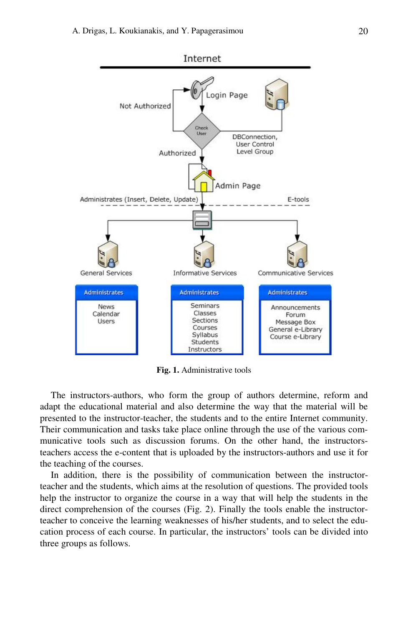

**Fig. 1.** Administrative tools

The instructors-authors, who form the group of authors determine, reform and adapt the educational material and also determine the way that the material will be presented to the instructor-teacher, the students and to the entire Internet community. Their communication and tasks take place online through the use of the various communicative tools such as discussion forums. On the other hand, the instructorsteachers access the e-content that is uploaded by the instructors-authors and use it for the teaching of the courses.

In addition, there is the possibility of communication between the instructorteacher and the students, which aims at the resolution of questions. The provided tools help the instructor to organize the course in a way that will help the students in the direct comprehension of the courses (Fig. 2). Finally the tools enable the instructorteacher to conceive the learning weaknesses of his/her students, and to select the education process of each course. In particular, the instructors' tools can be divided into three groups as follows.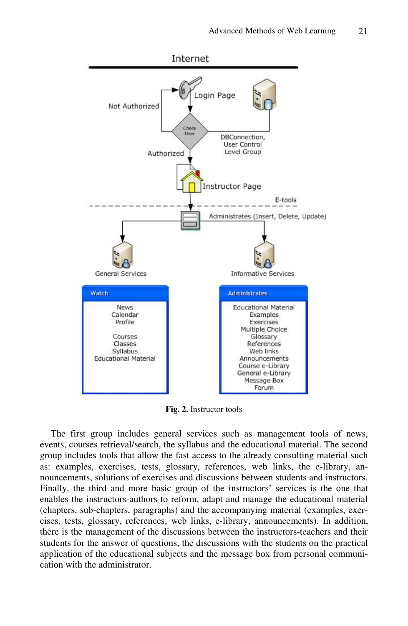

**Fig. 2.** Instructor tools

The first group includes general services such as management tools of news, events, courses retrieval/search, the syllabus and the educational material. The second group includes tools that allow the fast access to the already consulting material such as: examples, exercises, tests, glossary, references, web links, the e-library, announcements, solutions of exercises and discussions between students and instructors. Finally, the third and more basic group of the instructors' services is the one that enables the instructors-authors to reform, adapt and manage the educational material (chapters, sub-chapters, paragraphs) and the accompanying material (examples, exercises, tests, glossary, references, web links, e-library, announcements). In addition, there is the management of the discussions between the instructors-teachers and their students for the answer of questions, the discussions with the students on the practical application of the educational subjects and the message box from personal communication with the administrator.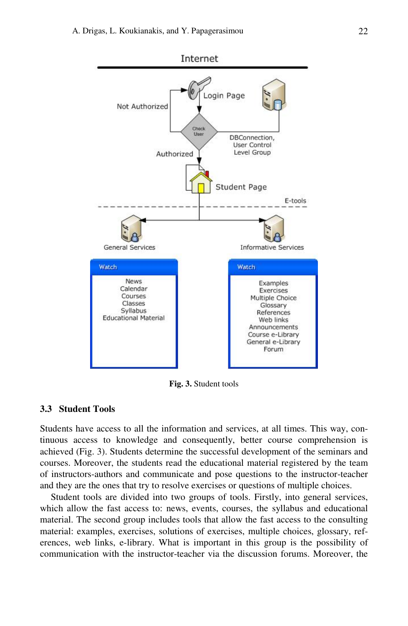

**Fig. 3.** Student tools

### **3.3 Student Tools**

Students have access to all the information and services, at all times. This way, continuous access to knowledge and consequently, better course comprehension is achieved (Fig. 3). Students determine the successful development of the seminars and courses. Moreover, the students read the educational material registered by the team of instructors-authors and communicate and pose questions to the instructor-teacher and they are the ones that try to resolve exercises or questions of multiple choices.

Student tools are divided into two groups of tools. Firstly, into general services, which allow the fast access to: news, events, courses, the syllabus and educational material. The second group includes tools that allow the fast access to the consulting material: examples, exercises, solutions of exercises, multiple choices, glossary, references, web links, e-library. What is important in this group is the possibility of communication with the instructor-teacher via the discussion forums. Moreover, the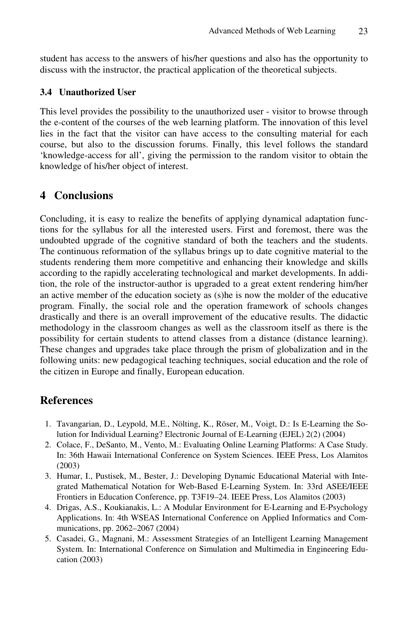student has access to the answers of his/her questions and also has the opportunity to discuss with the instructor, the practical application of the theoretical subjects.

### **3.4 Unauthorized User**

This level provides the possibility to the unauthorized user - visitor to browse through the e-content of the courses of the web learning platform. The innovation of this level lies in the fact that the visitor can have access to the consulting material for each course, but also to the discussion forums. Finally, this level follows the standard 'knowledge-access for all', giving the permission to the random visitor to obtain the knowledge of his/her object of interest.

## **4 Conclusions**

Concluding, it is easy to realize the benefits of applying dynamical adaptation functions for the syllabus for all the interested users. First and foremost, there was the undoubted upgrade of the cognitive standard of both the teachers and the students. The continuous reformation of the syllabus brings up to date cognitive material to the students rendering them more competitive and enhancing their knowledge and skills according to the rapidly accelerating technological and market developments. In addition, the role of the instructor-author is upgraded to a great extent rendering him/her an active member of the education society as (s)he is now the molder of the educative program. Finally, the social role and the operation framework of schools changes drastically and there is an overall improvement of the educative results. The didactic methodology in the classroom changes as well as the classroom itself as there is the possibility for certain students to attend classes from a distance (distance learning). These changes and upgrades take place through the prism of globalization and in the following units: new pedagogical teaching techniques, social education and the role of the citizen in Europe and finally, European education.

## **References**

- 1. Tavangarian, D., Leypold, M.E., Nölting, K., Röser, M., Voigt, D.: Is E-Learning the Solution for Individual Learning? Electronic Journal of E-Learning (EJEL) 2(2) (2004)
- 2. Colace, F., DeSanto, M., Vento, M.: Evaluating Online Learning Platforms: A Case Study. In: 36th Hawaii International Conference on System Sciences. IEEE Press, Los Alamitos (2003)
- 3. Humar, I., Pustisek, M., Bester, J.: Developing Dynamic Educational Material with Integrated Mathematical Notation for Web-Based E-Learning System. In: 33rd ASEE/IEEE Frontiers in Education Conference, pp. T3F19–24. IEEE Press, Los Alamitos (2003)
- 4. Drigas, A.S., Koukianakis, L.: A Modular Environment for E-Learning and E-Psychology Applications. In: 4th WSEAS International Conference on Applied Informatics and Communications, pp. 2062–2067 (2004)
- 5. Casadei, G., Magnani, M.: Assessment Strategies of an Intelligent Learning Management System. In: International Conference on Simulation and Multimedia in Engineering Education (2003)